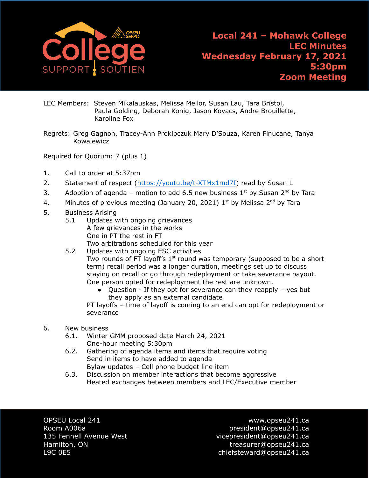

LEC Members: Steven Mikalauskas, Melissa Mellor, Susan Lau, Tara Bristol, Paula Golding, Deborah Konig, Jason Kovacs, Andre Brouillette, Karoline Fox

Regrets: Greg Gagnon, Tracey-Ann Prokipczuk Mary D'Souza, Karen Finucane, Tanya Kowalewicz

Required for Quorum: 7 (plus 1)

- 1. Call to order at 5:37pm
- 2. Statement of respect ([https://youtu.be/t-XTMx1md7I\)](https://youtu.be/t-XTMx1md7I) read by Susan L
- 3. Adoption of agenda motion to add 6.5 new business  $1^{st}$  by Susan  $2^{nd}$  by Tara
- 4. Minutes of previous meeting (January 20, 2021)  $1<sup>st</sup>$  by Melissa  $2<sup>nd</sup>$  by Tara
- 5. Business Arising
	- 5.1 Updates with ongoing grievances A few grievances in the works One in PT the rest in FT Two arbitrations scheduled for this year
	- 5.2 Updates with ongoing ESC activities Two rounds of FT layoff's  $1<sup>st</sup>$  round was temporary (supposed to be a short term) recall period was a longer duration, meetings set up to discuss staying on recall or go through redeployment or take severance payout. One person opted for redeployment the rest are unknown.
		- Question If they opt for severance can they reapply yes but they apply as an external candidate

PT layoffs – time of layoff is coming to an end can opt for redeployment or severance

- 6. New business
	- 6.1. Winter GMM proposed date March 24, 2021 One-hour meeting 5:30pm
	- 6.2. Gathering of agenda items and items that require voting Send in items to have added to agenda Bylaw updates – Cell phone budget line item
	- 6.3. Discussion on member interactions that become aggressive Heated exchanges between members and LEC/Executive member

OPSEU Local 241 www.opseu241.ca

Room A006a **president@opseu241.ca** 135 Fennell Avenue West vicepresident@opseu241.ca Hamilton, ON treasurer@opseu241.ca L9C 0E5 chiefsteward@opseu241.ca